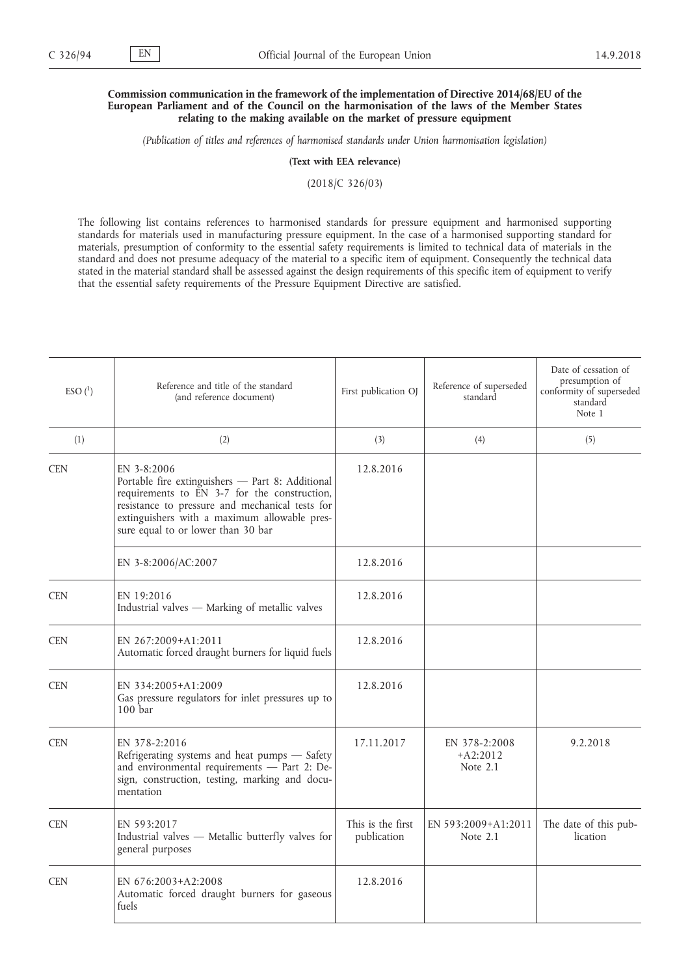## **Commission communication in the framework of the implementation of Directive 2014/68/EU of the European Parliament and of the Council on the harmonisation of the laws of the Member States relating to the making available on the market of pressure equipment**

*(Publication of titles and references of harmonised standards under Union harmonisation legislation)*

**(Text with EEA relevance)**

(2018/C 326/03)

The following list contains references to harmonised standards for pressure equipment and harmonised supporting standards for materials used in manufacturing pressure equipment. In the case of a harmonised supporting standard for materials, presumption of conformity to the essential safety requirements is limited to technical data of materials in the standard and does not presume adequacy of the material to a specific item of equipment. Consequently the technical data stated in the material standard shall be assessed against the design requirements of this specific item of equipment to verify that the essential safety requirements of the Pressure Equipment Directive are satisfied.

| $ESO(^{1})$ | Reference and title of the standard<br>(and reference document)                                                                                                                                                                                          | First publication OJ             | Reference of superseded<br>standard     | Date of cessation of<br>presumption of<br>conformity of superseded<br>standard<br>Note 1 |
|-------------|----------------------------------------------------------------------------------------------------------------------------------------------------------------------------------------------------------------------------------------------------------|----------------------------------|-----------------------------------------|------------------------------------------------------------------------------------------|
| (1)         | (2)                                                                                                                                                                                                                                                      | (3)                              | (4)                                     | (5)                                                                                      |
| <b>CEN</b>  | EN 3-8:2006<br>Portable fire extinguishers - Part 8: Additional<br>requirements to EN 3-7 for the construction,<br>resistance to pressure and mechanical tests for<br>extinguishers with a maximum allowable pres-<br>sure equal to or lower than 30 bar | 12.8.2016                        |                                         |                                                                                          |
|             | EN 3-8:2006/AC:2007                                                                                                                                                                                                                                      | 12.8.2016                        |                                         |                                                                                          |
| <b>CEN</b>  | EN 19:2016<br>Industrial valves - Marking of metallic valves                                                                                                                                                                                             | 12.8.2016                        |                                         |                                                                                          |
| <b>CEN</b>  | EN 267:2009+A1:2011<br>Automatic forced draught burners for liquid fuels                                                                                                                                                                                 | 12.8.2016                        |                                         |                                                                                          |
| <b>CEN</b>  | EN 334:2005+A1:2009<br>Gas pressure regulators for inlet pressures up to<br>100 <sub>bar</sub>                                                                                                                                                           | 12.8.2016                        |                                         |                                                                                          |
| <b>CEN</b>  | EN 378-2:2016<br>Refrigerating systems and heat pumps - Safety<br>and environmental requirements - Part 2: De-<br>sign, construction, testing, marking and docu-<br>mentation                                                                            | 17.11.2017                       | EN 378-2:2008<br>$+A2:2012$<br>Note 2.1 | 9.2.2018                                                                                 |
| <b>CEN</b>  | EN 593:2017<br>Industrial valves - Metallic butterfly valves for<br>general purposes                                                                                                                                                                     | This is the first<br>publication | EN 593:2009+A1:2011<br>Note $2.1$       | The date of this pub-<br>lication                                                        |
| <b>CEN</b>  | EN 676:2003+A2:2008<br>Automatic forced draught burners for gaseous<br>fuels                                                                                                                                                                             | 12.8.2016                        |                                         |                                                                                          |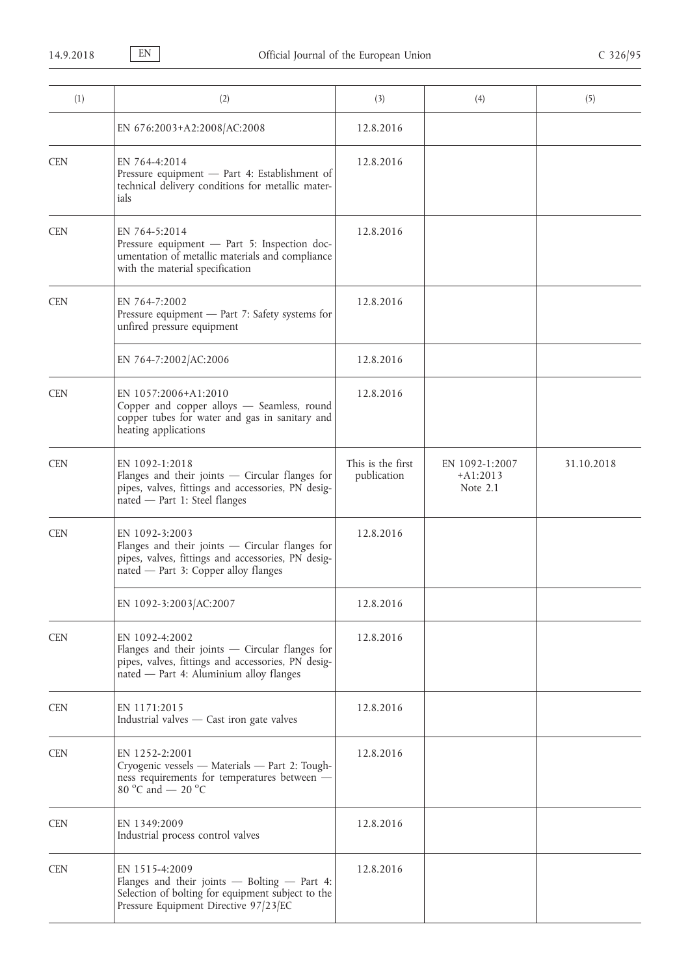| (1)        | (2)                                                                                                                                                                  | (3)                              | (4)                                      | (5)        |
|------------|----------------------------------------------------------------------------------------------------------------------------------------------------------------------|----------------------------------|------------------------------------------|------------|
|            | EN 676:2003+A2:2008/AC:2008                                                                                                                                          | 12.8.2016                        |                                          |            |
| <b>CEN</b> | EN 764-4:2014<br>Pressure equipment - Part 4: Establishment of<br>technical delivery conditions for metallic mater-<br>ials                                          | 12.8.2016                        |                                          |            |
| <b>CEN</b> | EN 764-5:2014<br>Pressure equipment - Part 5: Inspection doc-<br>umentation of metallic materials and compliance<br>with the material specification                  | 12.8.2016                        |                                          |            |
| <b>CEN</b> | EN 764-7:2002<br>Pressure equipment - Part 7: Safety systems for<br>unfired pressure equipment                                                                       | 12.8.2016                        |                                          |            |
|            | EN 764-7:2002/AC:2006                                                                                                                                                | 12.8.2016                        |                                          |            |
| <b>CEN</b> | EN 1057:2006+A1:2010<br>Copper and copper alloys - Seamless, round<br>copper tubes for water and gas in sanitary and<br>heating applications                         | 12.8.2016                        |                                          |            |
| <b>CEN</b> | EN 1092-1:2018<br>Flanges and their joints $-$ Circular flanges for<br>pipes, valves, fittings and accessories, PN desig-<br>nated - Part 1: Steel flanges           | This is the first<br>publication | EN 1092-1:2007<br>$+A1:2013$<br>Note 2.1 | 31.10.2018 |
| <b>CEN</b> | EN 1092-3:2003<br>Flanges and their joints - Circular flanges for<br>pipes, valves, fittings and accessories, PN desig-<br>nated - Part 3: Copper alloy flanges      | 12.8.2016                        |                                          |            |
|            | EN 1092-3:2003/AC:2007                                                                                                                                               | 12.8.2016                        |                                          |            |
| <b>CEN</b> | EN 1092-4:2002<br>Flanges and their joints $-$ Circular flanges for<br>pipes, valves, fittings and accessories, PN desig-<br>nated - Part 4: Aluminium alloy flanges | 12.8.2016                        |                                          |            |
| <b>CEN</b> | EN 1171:2015<br>Industrial valves - Cast iron gate valves                                                                                                            | 12.8.2016                        |                                          |            |
| <b>CEN</b> | EN 1252-2:2001<br>Cryogenic vessels - Materials - Part 2: Tough-<br>ness requirements for temperatures between -<br>80 °C and $-$ 20 °C                              | 12.8.2016                        |                                          |            |
| <b>CEN</b> | EN 1349:2009<br>Industrial process control valves                                                                                                                    | 12.8.2016                        |                                          |            |
| <b>CEN</b> | EN 1515-4:2009<br>Flanges and their joints - Bolting - Part 4:<br>Selection of bolting for equipment subject to the<br>Pressure Equipment Directive 97/23/EC         | 12.8.2016                        |                                          |            |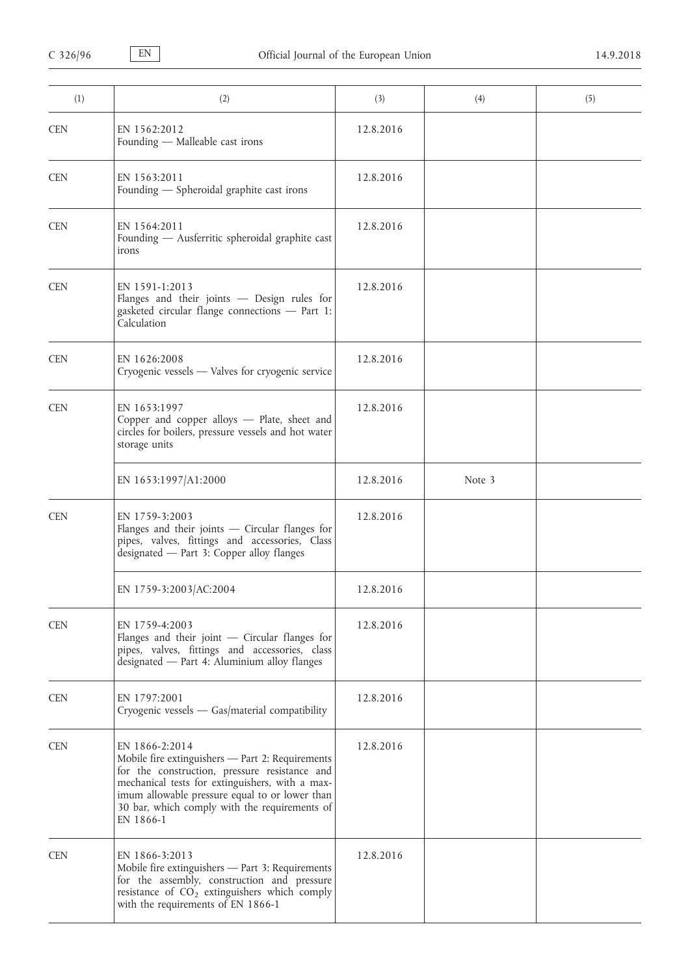| (1)        | (2)                                                                                                                                                                                                                                                                                    | (3)       | (4)    | (5) |
|------------|----------------------------------------------------------------------------------------------------------------------------------------------------------------------------------------------------------------------------------------------------------------------------------------|-----------|--------|-----|
| <b>CEN</b> | EN 1562:2012<br>Founding - Malleable cast irons                                                                                                                                                                                                                                        | 12.8.2016 |        |     |
| <b>CEN</b> | EN 1563:2011<br>Founding - Spheroidal graphite cast irons                                                                                                                                                                                                                              | 12.8.2016 |        |     |
| <b>CEN</b> | EN 1564:2011<br>Founding - Ausferritic spheroidal graphite cast<br>irons                                                                                                                                                                                                               | 12.8.2016 |        |     |
| <b>CEN</b> | EN 1591-1:2013<br>Flanges and their joints - Design rules for<br>gasketed circular flange connections - Part 1:<br>Calculation                                                                                                                                                         | 12.8.2016 |        |     |
| <b>CEN</b> | EN 1626:2008<br>Cryogenic vessels — Valves for cryogenic service                                                                                                                                                                                                                       | 12.8.2016 |        |     |
| <b>CEN</b> | EN 1653:1997<br>Copper and copper alloys - Plate, sheet and<br>circles for boilers, pressure vessels and hot water<br>storage units                                                                                                                                                    | 12.8.2016 |        |     |
|            | EN 1653:1997/A1:2000                                                                                                                                                                                                                                                                   | 12.8.2016 | Note 3 |     |
| <b>CEN</b> | EN 1759-3:2003<br>Flanges and their joints - Circular flanges for<br>pipes, valves, fittings and accessories, Class<br>designated - Part 3: Copper alloy flanges                                                                                                                       | 12.8.2016 |        |     |
|            | EN 1759-3:2003/AC:2004                                                                                                                                                                                                                                                                 | 12.8.2016 |        |     |
| <b>CEN</b> | EN 1759-4:2003<br>Flanges and their joint $-$ Circular flanges for<br>pipes, valves, fittings and accessories, class<br>designated - Part 4: Aluminium alloy flanges                                                                                                                   | 12.8.2016 |        |     |
| <b>CEN</b> | EN 1797:2001<br>Cryogenic vessels - Gas/material compatibility                                                                                                                                                                                                                         | 12.8.2016 |        |     |
| <b>CEN</b> | EN 1866-2:2014<br>Mobile fire extinguishers - Part 2: Requirements<br>for the construction, pressure resistance and<br>mechanical tests for extinguishers, with a max-<br>imum allowable pressure equal to or lower than<br>30 bar, which comply with the requirements of<br>EN 1866-1 | 12.8.2016 |        |     |
| <b>CEN</b> | EN 1866-3:2013<br>Mobile fire extinguishers - Part 3: Requirements<br>for the assembly, construction and pressure<br>resistance of $CO2$ extinguishers which comply<br>with the requirements of EN 1866-1                                                                              | 12.8.2016 |        |     |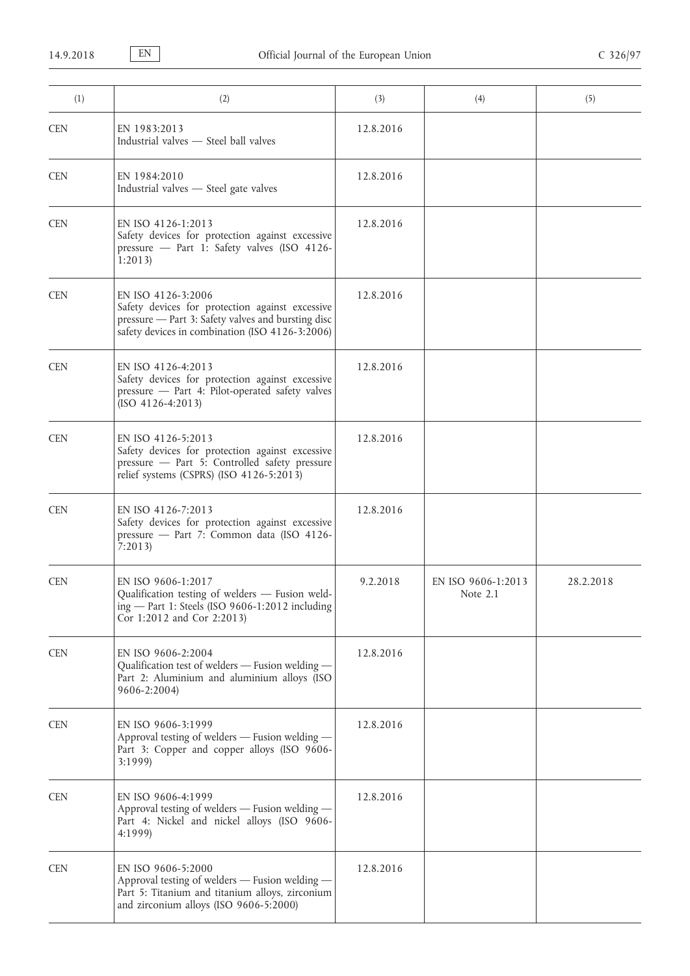| (1)        | (2)                                                                                                                                                                            | (3)       | (4)                            | (5)       |
|------------|--------------------------------------------------------------------------------------------------------------------------------------------------------------------------------|-----------|--------------------------------|-----------|
| <b>CEN</b> | EN 1983:2013<br>Industrial valves - Steel ball valves                                                                                                                          | 12.8.2016 |                                |           |
| <b>CEN</b> | EN 1984:2010<br>Industrial valves - Steel gate valves                                                                                                                          | 12.8.2016 |                                |           |
| <b>CEN</b> | EN ISO 4126-1:2013<br>Safety devices for protection against excessive<br>pressure - Part 1: Safety valves (ISO 4126-<br>1:2013                                                 | 12.8.2016 |                                |           |
| <b>CEN</b> | EN ISO 4126-3:2006<br>Safety devices for protection against excessive<br>pressure - Part 3: Safety valves and bursting disc<br>safety devices in combination (ISO 4126-3:2006) | 12.8.2016 |                                |           |
| <b>CEN</b> | EN ISO 4126-4:2013<br>Safety devices for protection against excessive<br>pressure - Part 4: Pilot-operated safety valves<br>$(ISO 4126-4:2013)$                                | 12.8.2016 |                                |           |
| <b>CEN</b> | EN ISO 4126-5:2013<br>Safety devices for protection against excessive<br>pressure - Part 5: Controlled safety pressure<br>relief systems (CSPRS) (ISO 4126-5:2013)             | 12.8.2016 |                                |           |
| <b>CEN</b> | EN ISO 4126-7:2013<br>Safety devices for protection against excessive<br>pressure - Part 7: Common data (ISO 4126-<br>7:2013                                                   | 12.8.2016 |                                |           |
| <b>CEN</b> | EN ISO 9606-1:2017<br>Qualification testing of welders - Fusion weld-<br>ing - Part 1: Steels (ISO 9606-1:2012 including<br>Cor 1:2012 and Cor 2:2013)                         | 9.2.2018  | EN ISO 9606-1:2013<br>Note 2.1 | 28.2.2018 |
| <b>CEN</b> | EN ISO 9606-2:2004<br>Qualification test of welders - Fusion welding -<br>Part 2: Aluminium and aluminium alloys (ISO<br>9606-2:2004)                                          | 12.8.2016 |                                |           |
| <b>CEN</b> | EN ISO 9606-3:1999<br>Approval testing of welders - Fusion welding -<br>Part 3: Copper and copper alloys (ISO 9606-<br>3:1999                                                  | 12.8.2016 |                                |           |
| <b>CEN</b> | EN ISO 9606-4:1999<br>Approval testing of welders - Fusion welding -<br>Part 4: Nickel and nickel alloys (ISO 9606-<br>4:1999)                                                 | 12.8.2016 |                                |           |
| <b>CEN</b> | EN ISO 9606-5:2000<br>Approval testing of welders - Fusion welding -<br>Part 5: Titanium and titanium alloys, zirconium<br>and zirconium alloys (ISO 9606-5:2000)              | 12.8.2016 |                                |           |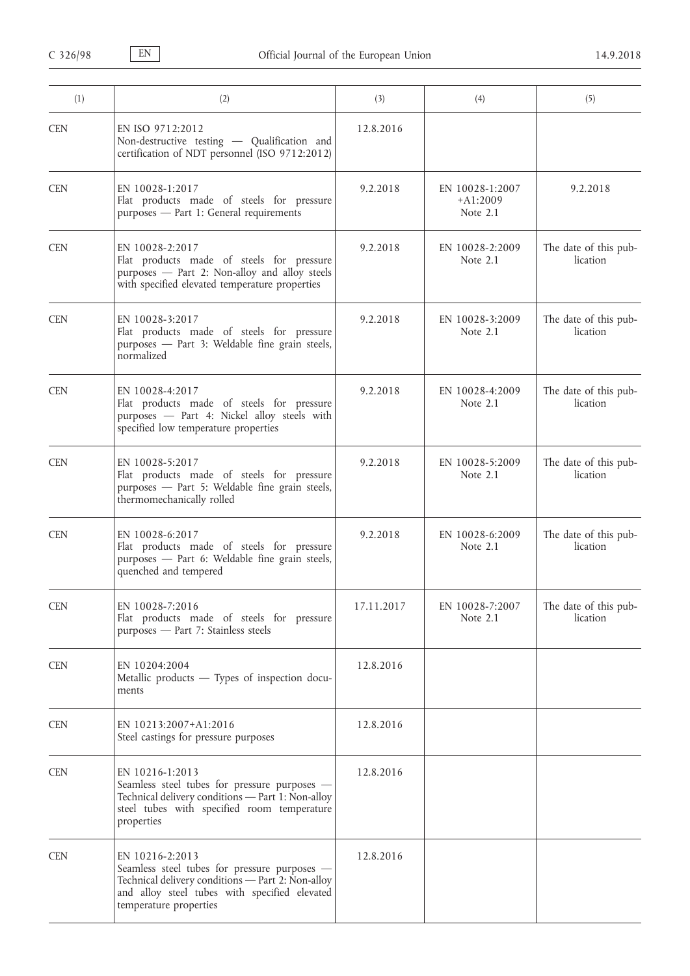| (1)        | (2)                                                                                                                                                                                             | (3)        | (4)                                       | (5)                               |
|------------|-------------------------------------------------------------------------------------------------------------------------------------------------------------------------------------------------|------------|-------------------------------------------|-----------------------------------|
| <b>CEN</b> | EN ISO 9712:2012<br>Non-destructive testing - Qualification and<br>certification of NDT personnel (ISO 9712:2012)                                                                               | 12.8.2016  |                                           |                                   |
| <b>CEN</b> | EN 10028-1:2017<br>Flat products made of steels for pressure<br>purposes - Part 1: General requirements                                                                                         | 9.2.2018   | EN 10028-1:2007<br>$+A1:2009$<br>Note 2.1 | 9.2.2018                          |
| <b>CEN</b> | EN 10028-2:2017<br>Flat products made of steels for pressure<br>purposes - Part 2: Non-alloy and alloy steels<br>with specified elevated temperature properties                                 | 9.2.2018   | EN 10028-2:2009<br>Note 2.1               | The date of this pub-<br>lication |
| <b>CEN</b> | EN 10028-3:2017<br>Flat products made of steels for pressure<br>purposes - Part 3: Weldable fine grain steels,<br>normalized                                                                    | 9.2.2018   | EN 10028-3:2009<br>Note $2.1$             | The date of this pub-<br>lication |
| <b>CEN</b> | EN 10028-4:2017<br>Flat products made of steels for pressure<br>purposes - Part 4: Nickel alloy steels with<br>specified low temperature properties                                             | 9.2.2018   | EN 10028-4:2009<br>Note $2.1$             | The date of this pub-<br>lication |
| <b>CEN</b> | EN 10028-5:2017<br>Flat products made of steels for pressure<br>purposes - Part 5: Weldable fine grain steels,<br>thermomechanically rolled                                                     | 9.2.2018   | EN 10028-5:2009<br>Note 2.1               | The date of this pub-<br>lication |
| <b>CEN</b> | EN 10028-6:2017<br>Flat products made of steels for pressure<br>purposes - Part 6: Weldable fine grain steels,<br>quenched and tempered                                                         | 9.2.2018   | EN 10028-6:2009<br>Note 2.1               | The date of this pub-<br>lication |
| <b>CEN</b> | EN 10028-7:2016<br>Flat products made of steels for pressure<br>purposes - Part 7: Stainless steels                                                                                             | 17.11.2017 | EN 10028-7:2007<br>Note 2.1               | The date of this pub-<br>lication |
| <b>CEN</b> | EN 10204:2004<br>Metallic products — Types of inspection docu-<br>ments                                                                                                                         | 12.8.2016  |                                           |                                   |
| <b>CEN</b> | EN 10213:2007+A1:2016<br>Steel castings for pressure purposes                                                                                                                                   | 12.8.2016  |                                           |                                   |
| <b>CEN</b> | EN 10216-1:2013<br>Seamless steel tubes for pressure purposes -<br>Technical delivery conditions - Part 1: Non-alloy<br>steel tubes with specified room temperature<br>properties               | 12.8.2016  |                                           |                                   |
| <b>CEN</b> | EN 10216-2:2013<br>Seamless steel tubes for pressure purposes -<br>Technical delivery conditions - Part 2: Non-alloy<br>and alloy steel tubes with specified elevated<br>temperature properties | 12.8.2016  |                                           |                                   |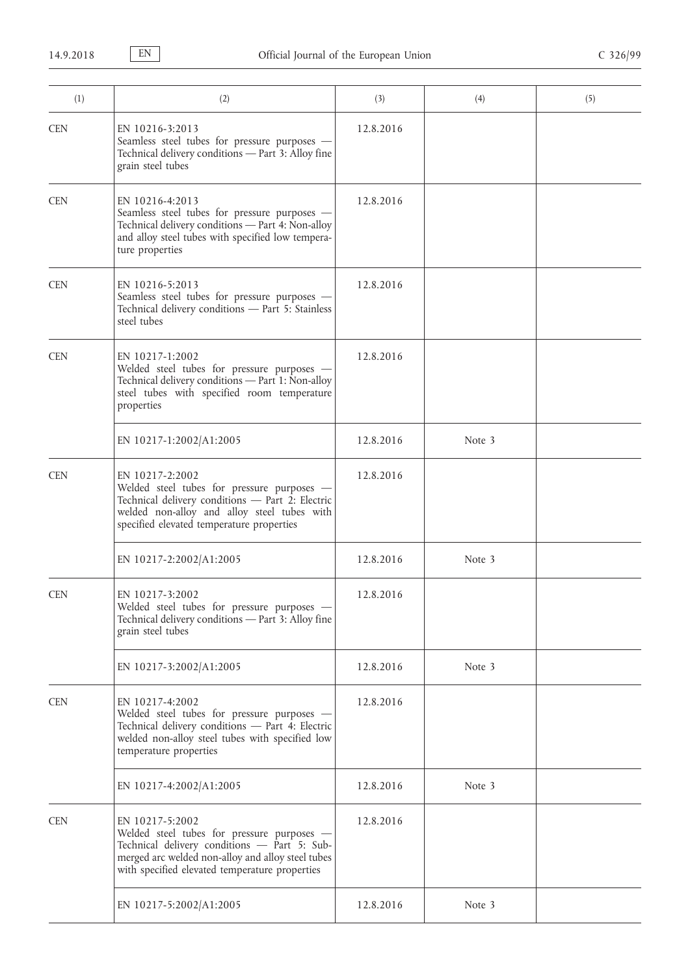| (1)        | (2)                                                                                                                                                                                                                  | (3)       | (4)    | (5) |
|------------|----------------------------------------------------------------------------------------------------------------------------------------------------------------------------------------------------------------------|-----------|--------|-----|
| <b>CEN</b> | EN 10216-3:2013<br>Seamless steel tubes for pressure purposes -<br>Technical delivery conditions - Part 3: Alloy fine<br>grain steel tubes                                                                           | 12.8.2016 |        |     |
| <b>CEN</b> | EN 10216-4:2013<br>Seamless steel tubes for pressure purposes -<br>Technical delivery conditions - Part 4: Non-alloy<br>and alloy steel tubes with specified low tempera-<br>ture properties                         | 12.8.2016 |        |     |
| <b>CEN</b> | EN 10216-5:2013<br>Seamless steel tubes for pressure purposes -<br>Technical delivery conditions - Part 5: Stainless<br>steel tubes                                                                                  | 12.8.2016 |        |     |
| <b>CEN</b> | EN 10217-1:2002<br>Welded steel tubes for pressure purposes -<br>Technical delivery conditions - Part 1: Non-alloy<br>steel tubes with specified room temperature<br>properties                                      | 12.8.2016 |        |     |
|            | EN 10217-1:2002/A1:2005                                                                                                                                                                                              | 12.8.2016 | Note 3 |     |
| <b>CEN</b> | EN 10217-2:2002<br>Welded steel tubes for pressure purposes -<br>Technical delivery conditions - Part 2: Electric<br>welded non-alloy and alloy steel tubes with<br>specified elevated temperature properties        | 12.8.2016 |        |     |
|            | EN 10217-2:2002/A1:2005                                                                                                                                                                                              | 12.8.2016 | Note 3 |     |
| <b>CEN</b> | EN 10217-3:2002<br>Welded steel tubes for pressure purposes -<br>Technical delivery conditions - Part 3: Alloy fine<br>grain steel tubes                                                                             | 12.8.2016 |        |     |
|            | EN 10217-3:2002/A1:2005                                                                                                                                                                                              | 12.8.2016 | Note 3 |     |
| <b>CEN</b> | EN 10217-4:2002<br>Welded steel tubes for pressure purposes -<br>Technical delivery conditions - Part 4: Electric<br>welded non-alloy steel tubes with specified low<br>temperature properties                       | 12.8.2016 |        |     |
|            | EN 10217-4:2002/A1:2005                                                                                                                                                                                              | 12.8.2016 | Note 3 |     |
| <b>CEN</b> | EN 10217-5:2002<br>Welded steel tubes for pressure purposes -<br>Technical delivery conditions - Part 5: Sub-<br>merged arc welded non-alloy and alloy steel tubes<br>with specified elevated temperature properties | 12.8.2016 |        |     |
|            | EN 10217-5:2002/A1:2005                                                                                                                                                                                              | 12.8.2016 | Note 3 |     |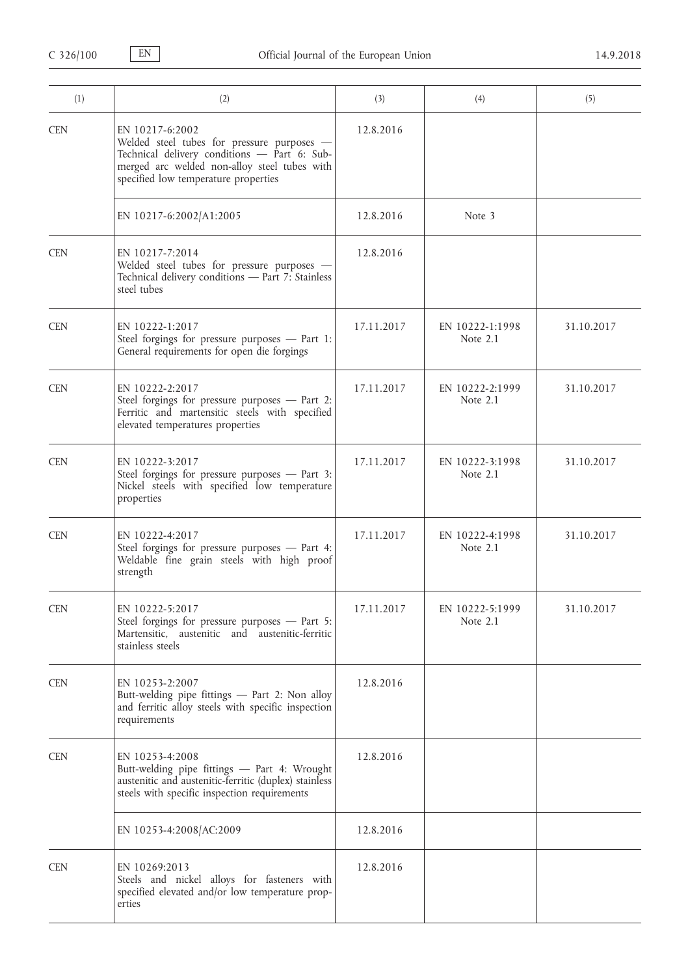| (1)        | (2)                                                                                                                                                                                                   | (3)        | (4)                           | (5)        |
|------------|-------------------------------------------------------------------------------------------------------------------------------------------------------------------------------------------------------|------------|-------------------------------|------------|
| <b>CEN</b> | EN 10217-6:2002<br>Welded steel tubes for pressure purposes -<br>Technical delivery conditions - Part 6: Sub-<br>merged arc welded non-alloy steel tubes with<br>specified low temperature properties | 12.8.2016  |                               |            |
|            | EN 10217-6:2002/A1:2005                                                                                                                                                                               | 12.8.2016  | Note 3                        |            |
| <b>CEN</b> | EN 10217-7:2014<br>Welded steel tubes for pressure purposes -<br>Technical delivery conditions - Part 7: Stainless<br>steel tubes                                                                     | 12.8.2016  |                               |            |
| <b>CEN</b> | EN 10222-1:2017<br>Steel forgings for pressure purposes - Part 1:<br>General requirements for open die forgings                                                                                       | 17.11.2017 | EN 10222-1:1998<br>Note 2.1   | 31.10.2017 |
| <b>CEN</b> | EN 10222-2:2017<br>Steel forgings for pressure purposes - Part 2:<br>Ferritic and martensitic steels with specified<br>elevated temperatures properties                                               | 17.11.2017 | EN 10222-2:1999<br>Note 2.1   | 31.10.2017 |
| <b>CEN</b> | EN 10222-3:2017<br>Steel forgings for pressure purposes - Part 3:<br>Nickel steels with specified low temperature<br>properties                                                                       | 17.11.2017 | EN 10222-3:1998<br>Note 2.1   | 31.10.2017 |
| <b>CEN</b> | EN 10222-4:2017<br>Steel forgings for pressure purposes - Part 4:<br>Weldable fine grain steels with high proof<br>strength                                                                           | 17.11.2017 | EN 10222-4:1998<br>Note $2.1$ | 31.10.2017 |
| <b>CEN</b> | EN 10222-5:2017<br>Steel forgings for pressure purposes - Part 5:<br>Martensitic, austenitic and austenitic-ferritic<br>stainless steels                                                              | 17.11.2017 | EN 10222-5:1999<br>Note 2.1   | 31.10.2017 |
| <b>CEN</b> | EN 10253-2:2007<br>Butt-welding pipe fittings - Part 2: Non alloy<br>and ferritic alloy steels with specific inspection<br>requirements                                                               | 12.8.2016  |                               |            |
| <b>CEN</b> | EN 10253-4:2008<br>Butt-welding pipe fittings - Part 4: Wrought<br>austenitic and austenitic-ferritic (duplex) stainless<br>steels with specific inspection requirements                              | 12.8.2016  |                               |            |
|            | EN 10253-4:2008/AC:2009                                                                                                                                                                               | 12.8.2016  |                               |            |
| <b>CEN</b> | EN 10269:2013<br>Steels and nickel alloys for fasteners with<br>specified elevated and/or low temperature prop-<br>erties                                                                             | 12.8.2016  |                               |            |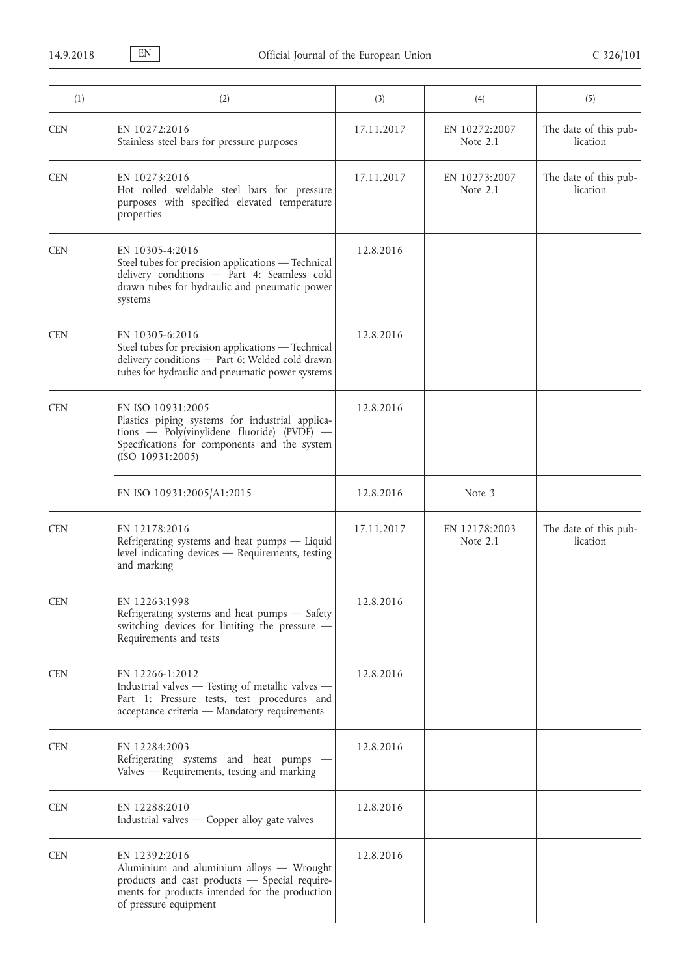| (1)        | (2)                                                                                                                                                                                        | (3)        | (4)                         | (5)                               |
|------------|--------------------------------------------------------------------------------------------------------------------------------------------------------------------------------------------|------------|-----------------------------|-----------------------------------|
| <b>CEN</b> | EN 10272:2016<br>Stainless steel bars for pressure purposes                                                                                                                                | 17.11.2017 | EN 10272:2007<br>Note 2.1   | The date of this pub-<br>lication |
| <b>CEN</b> | EN 10273:2016<br>Hot rolled weldable steel bars for pressure<br>purposes with specified elevated temperature<br>properties                                                                 | 17.11.2017 | EN 10273:2007<br>Note 2.1   | The date of this pub-<br>lication |
| <b>CEN</b> | EN 10305-4:2016<br>Steel tubes for precision applications - Technical<br>delivery conditions - Part 4: Seamless cold<br>drawn tubes for hydraulic and pneumatic power<br>systems           | 12.8.2016  |                             |                                   |
| <b>CEN</b> | EN 10305-6:2016<br>Steel tubes for precision applications - Technical<br>delivery conditions - Part 6: Welded cold drawn<br>tubes for hydraulic and pneumatic power systems                | 12.8.2016  |                             |                                   |
| <b>CEN</b> | EN ISO 10931:2005<br>Plastics piping systems for industrial applica-<br>tions $-$ Poly(vinylidene fluoride) (PVDF) $-$<br>Specifications for components and the system<br>(ISO 10931:2005) | 12.8.2016  |                             |                                   |
|            | EN ISO 10931:2005/A1:2015                                                                                                                                                                  | 12.8.2016  | Note 3                      |                                   |
| <b>CEN</b> | EN 12178:2016<br>Refrigerating systems and heat pumps - Liquid<br>level indicating devices - Requirements, testing<br>and marking                                                          | 17.11.2017 | EN 12178:2003<br>Note $2.1$ | The date of this pub-<br>lication |
| <b>CEN</b> | EN 12263:1998<br>Refrigerating systems and heat pumps - Safety<br>switching devices for limiting the pressure -<br>Requirements and tests                                                  | 12.8.2016  |                             |                                   |
| <b>CEN</b> | EN 12266-1:2012<br>Industrial valves - Testing of metallic valves -<br>Part 1: Pressure tests, test procedures and<br>acceptance criteria - Mandatory requirements                         | 12.8.2016  |                             |                                   |
| <b>CEN</b> | EN 12284:2003<br>Refrigerating systems and heat pumps -<br>Valves — Requirements, testing and marking                                                                                      | 12.8.2016  |                             |                                   |
| <b>CEN</b> | EN 12288:2010<br>Industrial valves — Copper alloy gate valves                                                                                                                              | 12.8.2016  |                             |                                   |
| <b>CEN</b> | EN 12392:2016<br>Aluminium and aluminium alloys - Wrought<br>products and cast products - Special require-<br>ments for products intended for the production<br>of pressure equipment      | 12.8.2016  |                             |                                   |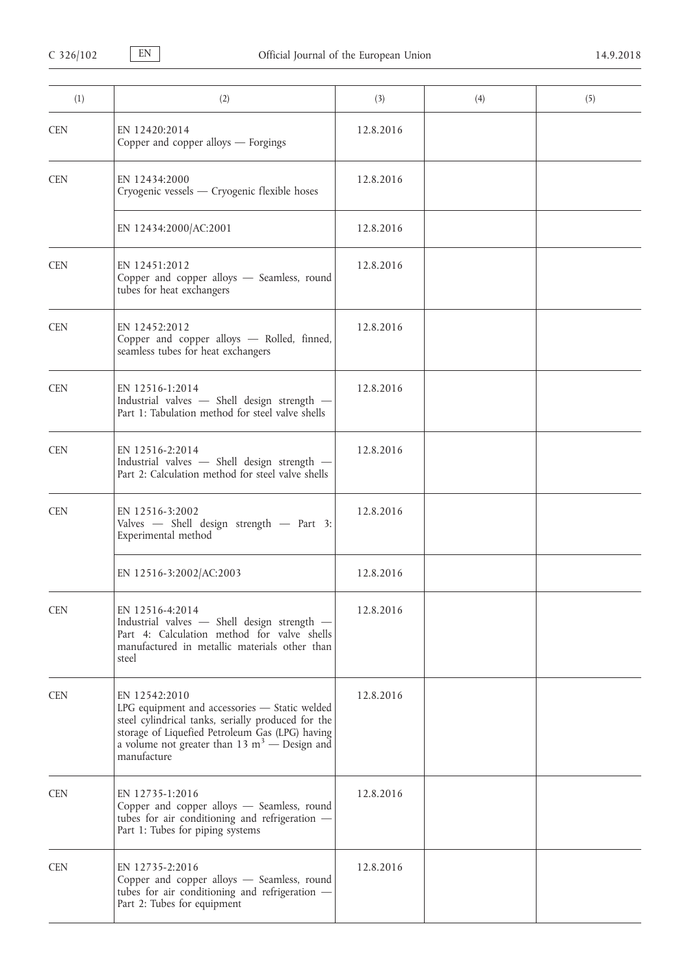| (1)        | (2)                                                                                                                                                                                                                                               | (3)       | (4) | (5) |
|------------|---------------------------------------------------------------------------------------------------------------------------------------------------------------------------------------------------------------------------------------------------|-----------|-----|-----|
| <b>CEN</b> | EN 12420:2014<br>Copper and copper alloys - Forgings                                                                                                                                                                                              | 12.8.2016 |     |     |
| <b>CEN</b> | EN 12434:2000<br>Cryogenic vessels — Cryogenic flexible hoses                                                                                                                                                                                     | 12.8.2016 |     |     |
|            | EN 12434:2000/AC:2001                                                                                                                                                                                                                             | 12.8.2016 |     |     |
| <b>CEN</b> | EN 12451:2012<br>Copper and copper alloys - Seamless, round<br>tubes for heat exchangers                                                                                                                                                          | 12.8.2016 |     |     |
| <b>CEN</b> | EN 12452:2012<br>Copper and copper alloys - Rolled, finned,<br>seamless tubes for heat exchangers                                                                                                                                                 | 12.8.2016 |     |     |
| <b>CEN</b> | EN 12516-1:2014<br>Industrial valves - Shell design strength -<br>Part 1: Tabulation method for steel valve shells                                                                                                                                | 12.8.2016 |     |     |
| <b>CEN</b> | EN 12516-2:2014<br>Industrial valves - Shell design strength -<br>Part 2: Calculation method for steel valve shells                                                                                                                               | 12.8.2016 |     |     |
| <b>CEN</b> | EN 12516-3:2002<br>Valves - Shell design strength - Part 3:<br>Experimental method                                                                                                                                                                | 12.8.2016 |     |     |
|            | EN 12516-3:2002/AC:2003                                                                                                                                                                                                                           | 12.8.2016 |     |     |
| <b>CEN</b> | EN 12516-4:2014<br>Industrial valves - Shell design strength -<br>Part 4: Calculation method for valve shells<br>manufactured in metallic materials other than<br>steel                                                                           | 12.8.2016 |     |     |
| <b>CEN</b> | EN 12542:2010<br>LPG equipment and accessories - Static welded<br>steel cylindrical tanks, serially produced for the<br>storage of Liquefied Petroleum Gas (LPG) having<br>a volume not greater than $13 \text{ m}^3$ - Design and<br>manufacture | 12.8.2016 |     |     |
| <b>CEN</b> | EN 12735-1:2016<br>Copper and copper alloys - Seamless, round<br>tubes for air conditioning and refrigeration -<br>Part 1: Tubes for piping systems                                                                                               | 12.8.2016 |     |     |
| <b>CEN</b> | EN 12735-2:2016<br>Copper and copper alloys - Seamless, round<br>tubes for air conditioning and refrigeration -<br>Part 2: Tubes for equipment                                                                                                    | 12.8.2016 |     |     |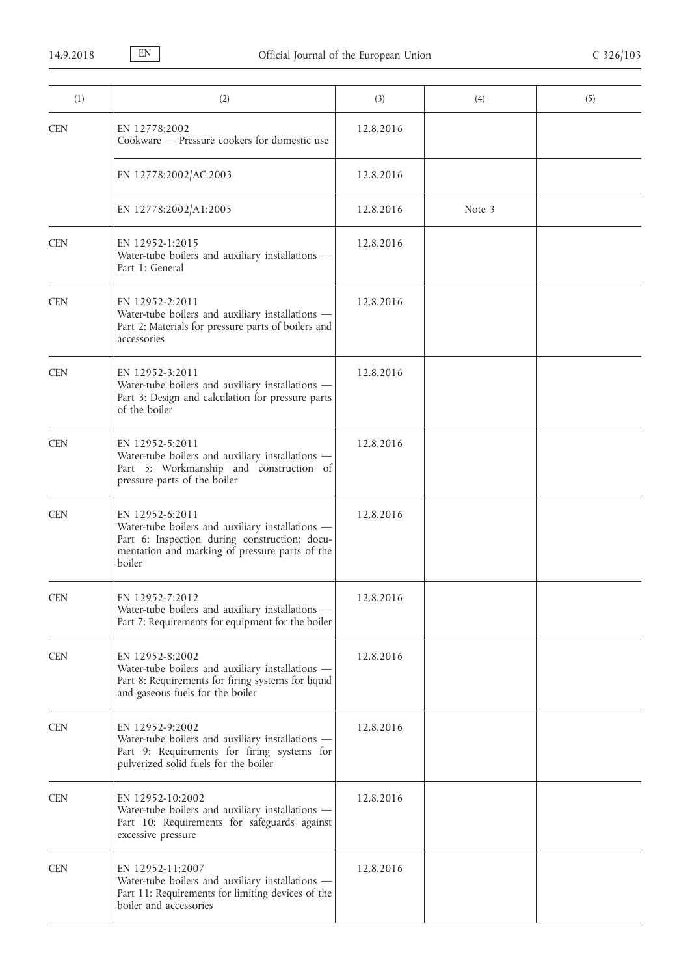| (1)        | (2)                                                                                                                                                                              | (3)       | (4)    | (5) |
|------------|----------------------------------------------------------------------------------------------------------------------------------------------------------------------------------|-----------|--------|-----|
| <b>CEN</b> | EN 12778:2002<br>Cookware - Pressure cookers for domestic use                                                                                                                    | 12.8.2016 |        |     |
|            | EN 12778:2002/AC:2003                                                                                                                                                            | 12.8.2016 |        |     |
|            | EN 12778:2002/A1:2005                                                                                                                                                            | 12.8.2016 | Note 3 |     |
| <b>CEN</b> | EN 12952-1:2015<br>Water-tube boilers and auxiliary installations -<br>Part 1: General                                                                                           | 12.8.2016 |        |     |
| <b>CEN</b> | EN 12952-2:2011<br>Water-tube boilers and auxiliary installations -<br>Part 2: Materials for pressure parts of boilers and<br>accessories                                        | 12.8.2016 |        |     |
| <b>CEN</b> | EN 12952-3:2011<br>Water-tube boilers and auxiliary installations -<br>Part 3: Design and calculation for pressure parts<br>of the boiler                                        | 12.8.2016 |        |     |
| <b>CEN</b> | EN 12952-5:2011<br>Water-tube boilers and auxiliary installations -<br>Part 5: Workmanship and construction of<br>pressure parts of the boiler                                   | 12.8.2016 |        |     |
| <b>CEN</b> | EN 12952-6:2011<br>Water-tube boilers and auxiliary installations -<br>Part 6: Inspection during construction; docu-<br>mentation and marking of pressure parts of the<br>boiler | 12.8.2016 |        |     |
| <b>CEN</b> | EN 12952-7:2012<br>Water-tube boilers and auxiliary installations -<br>Part 7: Requirements for equipment for the boiler                                                         | 12.8.2016 |        |     |
| <b>CEN</b> | EN 12952-8:2002<br>Water-tube boilers and auxiliary installations -<br>Part 8: Requirements for firing systems for liquid<br>and gaseous fuels for the boiler                    | 12.8.2016 |        |     |
| <b>CEN</b> | EN 12952-9:2002<br>Water-tube boilers and auxiliary installations -<br>Part 9: Requirements for firing systems for<br>pulverized solid fuels for the boiler                      | 12.8.2016 |        |     |
| <b>CEN</b> | EN 12952-10:2002<br>Water-tube boilers and auxiliary installations -<br>Part 10: Requirements for safeguards against<br>excessive pressure                                       | 12.8.2016 |        |     |
| <b>CEN</b> | EN 12952-11:2007<br>Water-tube boilers and auxiliary installations -<br>Part 11: Requirements for limiting devices of the<br>boiler and accessories                              | 12.8.2016 |        |     |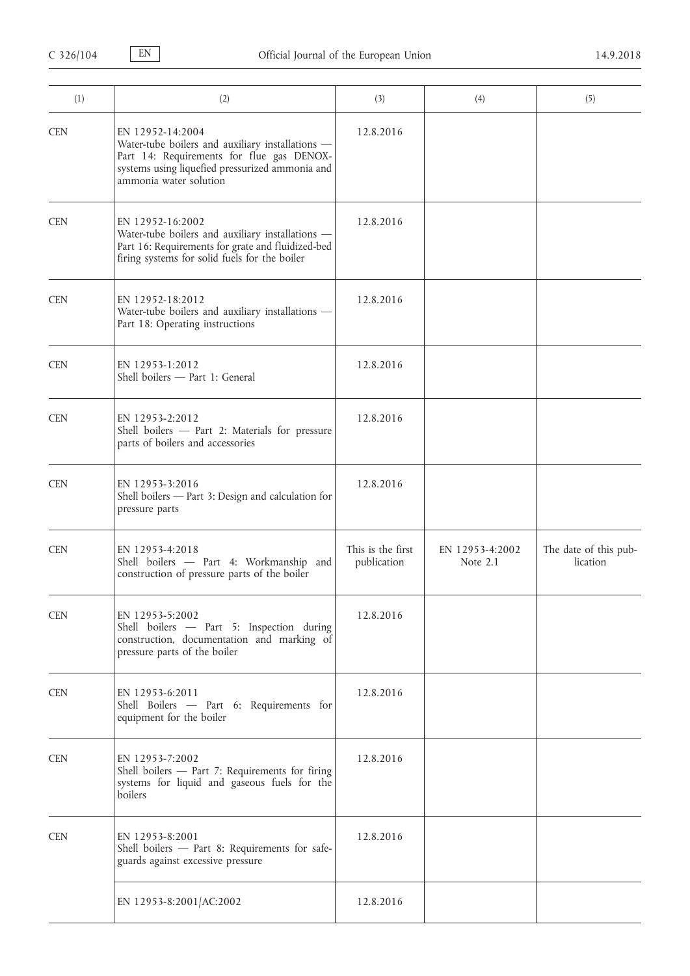| (1)        | (2)                                                                                                                                                                                            | (3)                              | (4)                         | (5)                               |
|------------|------------------------------------------------------------------------------------------------------------------------------------------------------------------------------------------------|----------------------------------|-----------------------------|-----------------------------------|
| <b>CEN</b> | EN 12952-14:2004<br>Water-tube boilers and auxiliary installations -<br>Part 14: Requirements for flue gas DENOX-<br>systems using liquefied pressurized ammonia and<br>ammonia water solution | 12.8.2016                        |                             |                                   |
| <b>CEN</b> | EN 12952-16:2002<br>Water-tube boilers and auxiliary installations -<br>Part 16: Requirements for grate and fluidized-bed<br>firing systems for solid fuels for the boiler                     | 12.8.2016                        |                             |                                   |
| <b>CEN</b> | EN 12952-18:2012<br>Water-tube boilers and auxiliary installations -<br>Part 18: Operating instructions                                                                                        | 12.8.2016                        |                             |                                   |
| <b>CEN</b> | EN 12953-1:2012<br>Shell boilers - Part 1: General                                                                                                                                             | 12.8.2016                        |                             |                                   |
| <b>CEN</b> | EN 12953-2:2012<br>Shell boilers - Part 2: Materials for pressure<br>parts of boilers and accessories                                                                                          | 12.8.2016                        |                             |                                   |
| <b>CEN</b> | EN 12953-3:2016<br>Shell boilers - Part 3: Design and calculation for<br>pressure parts                                                                                                        | 12.8.2016                        |                             |                                   |
| <b>CEN</b> | EN 12953-4:2018<br>Shell boilers - Part 4: Workmanship and<br>construction of pressure parts of the boiler                                                                                     | This is the first<br>publication | EN 12953-4:2002<br>Note 2.1 | The date of this pub-<br>lication |
| <b>CEN</b> | EN 12953-5:2002<br>Shell boilers - Part 5: Inspection during<br>construction, documentation and marking of<br>pressure parts of the boiler                                                     | 12.8.2016                        |                             |                                   |
| <b>CEN</b> | EN 12953-6:2011<br>Shell Boilers - Part 6: Requirements for<br>equipment for the boiler                                                                                                        | 12.8.2016                        |                             |                                   |
| <b>CEN</b> | EN 12953-7:2002<br>Shell boilers - Part 7: Requirements for firing<br>systems for liquid and gaseous fuels for the<br>boilers                                                                  | 12.8.2016                        |                             |                                   |
| <b>CEN</b> | EN 12953-8:2001<br>Shell boilers - Part 8: Requirements for safe-<br>guards against excessive pressure                                                                                         | 12.8.2016                        |                             |                                   |
|            | EN 12953-8:2001/AC:2002                                                                                                                                                                        | 12.8.2016                        |                             |                                   |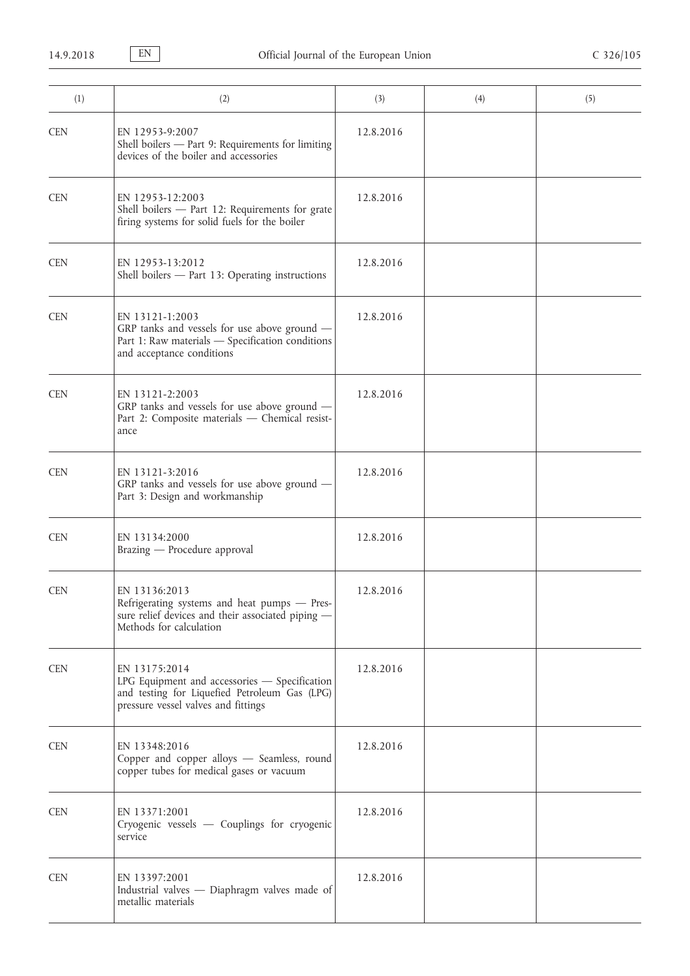| (1)        | (2)                                                                                                                                                    | (3)       | (4) | (5) |
|------------|--------------------------------------------------------------------------------------------------------------------------------------------------------|-----------|-----|-----|
| <b>CEN</b> | EN 12953-9:2007<br>Shell boilers - Part 9: Requirements for limiting<br>devices of the boiler and accessories                                          | 12.8.2016 |     |     |
| <b>CEN</b> | EN 12953-12:2003<br>Shell boilers - Part 12: Requirements for grate<br>firing systems for solid fuels for the boiler                                   | 12.8.2016 |     |     |
| <b>CEN</b> | EN 12953-13:2012<br>Shell boilers - Part 13: Operating instructions                                                                                    | 12.8.2016 |     |     |
| <b>CEN</b> | EN 13121-1:2003<br>GRP tanks and vessels for use above ground -<br>Part 1: Raw materials - Specification conditions<br>and acceptance conditions       | 12.8.2016 |     |     |
| <b>CEN</b> | EN 13121-2:2003<br>GRP tanks and vessels for use above ground -<br>Part 2: Composite materials - Chemical resist-<br>ance                              | 12.8.2016 |     |     |
| <b>CEN</b> | EN 13121-3:2016<br>GRP tanks and vessels for use above ground -<br>Part 3: Design and workmanship                                                      | 12.8.2016 |     |     |
| <b>CEN</b> | EN 13134:2000<br>Brazing - Procedure approval                                                                                                          | 12.8.2016 |     |     |
| <b>CEN</b> | EN 13136:2013<br>Refrigerating systems and heat pumps - Pres-<br>sure relief devices and their associated piping -<br>Methods for calculation          | 12.8.2016 |     |     |
| <b>CEN</b> | EN 13175:2014<br>LPG Equipment and accessories - Specification<br>and testing for Liquefied Petroleum Gas (LPG)<br>pressure vessel valves and fittings | 12.8.2016 |     |     |
| <b>CEN</b> | EN 13348:2016<br>Copper and copper alloys - Seamless, round<br>copper tubes for medical gases or vacuum                                                | 12.8.2016 |     |     |
| <b>CEN</b> | EN 13371:2001<br>Cryogenic vessels - Couplings for cryogenic<br>service                                                                                | 12.8.2016 |     |     |
| <b>CEN</b> | EN 13397:2001<br>Industrial valves - Diaphragm valves made of<br>metallic materials                                                                    | 12.8.2016 |     |     |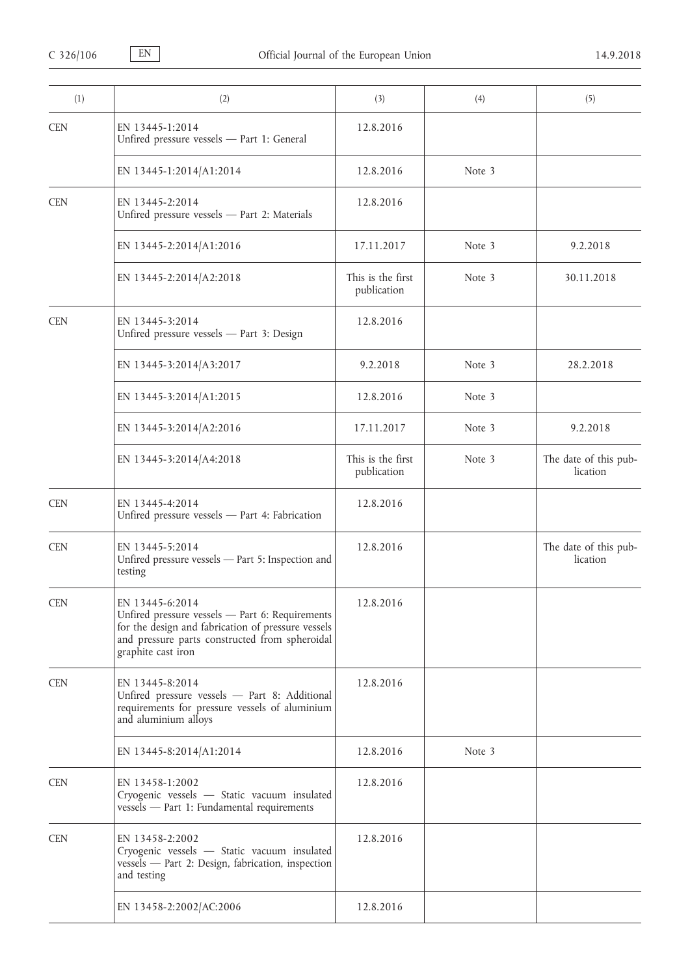| (1)        | (2)                                                                                                                                                                                              | (3)                              | (4)    | (5)                               |
|------------|--------------------------------------------------------------------------------------------------------------------------------------------------------------------------------------------------|----------------------------------|--------|-----------------------------------|
| <b>CEN</b> | EN 13445-1:2014<br>Unfired pressure vessels - Part 1: General                                                                                                                                    | 12.8.2016                        |        |                                   |
|            | EN 13445-1:2014/A1:2014                                                                                                                                                                          | 12.8.2016                        | Note 3 |                                   |
| <b>CEN</b> | EN 13445-2:2014<br>Unfired pressure vessels - Part 2: Materials                                                                                                                                  | 12.8.2016                        |        |                                   |
|            | EN 13445-2:2014/A1:2016                                                                                                                                                                          | 17.11.2017                       | Note 3 | 9.2.2018                          |
|            | EN 13445-2:2014/A2:2018                                                                                                                                                                          | This is the first<br>publication | Note 3 | 30.11.2018                        |
| <b>CEN</b> | EN 13445-3:2014<br>Unfired pressure vessels - Part 3: Design                                                                                                                                     | 12.8.2016                        |        |                                   |
|            | EN 13445-3:2014/A3:2017                                                                                                                                                                          | 9.2.2018                         | Note 3 | 28.2.2018                         |
|            | EN 13445-3:2014/A1:2015                                                                                                                                                                          | 12.8.2016                        | Note 3 |                                   |
|            | EN 13445-3:2014/A2:2016                                                                                                                                                                          | 17.11.2017                       | Note 3 | 9.2.2018                          |
|            | EN 13445-3:2014/A4:2018                                                                                                                                                                          | This is the first<br>publication | Note 3 | The date of this pub-<br>lication |
| <b>CEN</b> | EN 13445-4:2014<br>Unfired pressure vessels - Part 4: Fabrication                                                                                                                                | 12.8.2016                        |        |                                   |
| <b>CEN</b> | EN 13445-5:2014<br>Unfired pressure vessels - Part 5: Inspection and<br>testing                                                                                                                  | 12.8.2016                        |        | The date of this pub-<br>lication |
| <b>CEN</b> | EN 13445-6:2014<br>Unfired pressure vessels - Part 6: Requirements<br>for the design and fabrication of pressure vessels<br>and pressure parts constructed from spheroidal<br>graphite cast iron | 12.8.2016                        |        |                                   |
| <b>CEN</b> | EN 13445-8:2014<br>Unfired pressure vessels - Part 8: Additional<br>requirements for pressure vessels of aluminium<br>and aluminium alloys                                                       | 12.8.2016                        |        |                                   |
|            | EN 13445-8:2014/A1:2014                                                                                                                                                                          | 12.8.2016                        | Note 3 |                                   |
| <b>CEN</b> | EN 13458-1:2002<br>Cryogenic vessels - Static vacuum insulated<br>vessels - Part 1: Fundamental requirements                                                                                     | 12.8.2016                        |        |                                   |
| <b>CEN</b> | EN 13458-2:2002<br>Cryogenic vessels - Static vacuum insulated<br>vessels - Part 2: Design, fabrication, inspection<br>and testing                                                               | 12.8.2016                        |        |                                   |
|            | EN 13458-2:2002/AC:2006                                                                                                                                                                          | 12.8.2016                        |        |                                   |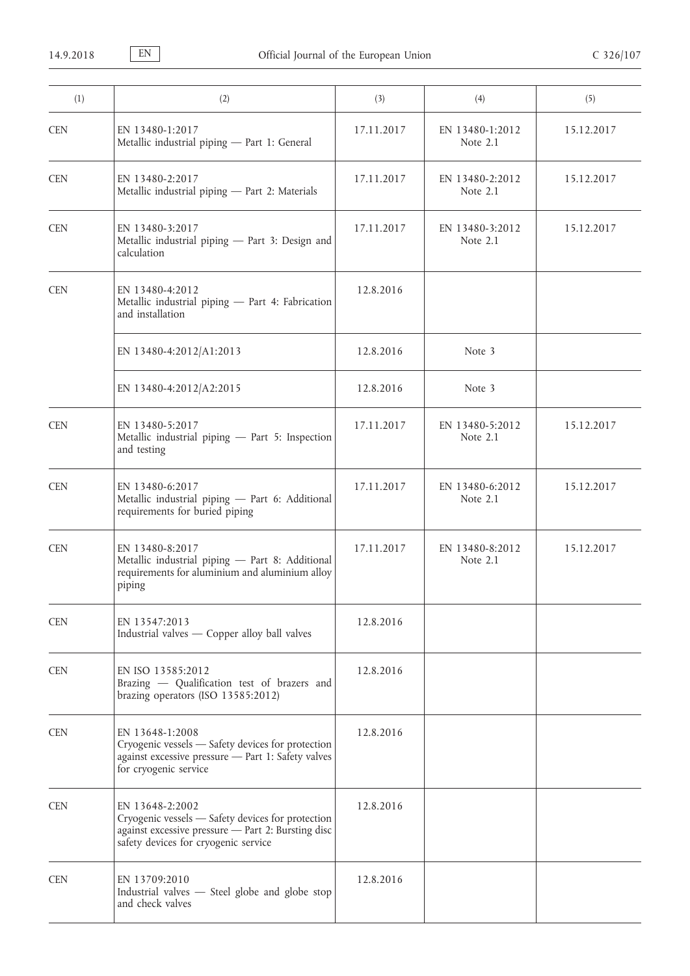| (1)        | (2)                                                                                                                                                                | (3)        | (4)                           | (5)        |
|------------|--------------------------------------------------------------------------------------------------------------------------------------------------------------------|------------|-------------------------------|------------|
| <b>CEN</b> | EN 13480-1:2017<br>Metallic industrial piping - Part 1: General                                                                                                    | 17.11.2017 | EN 13480-1:2012<br>Note 2.1   | 15.12.2017 |
| <b>CEN</b> | EN 13480-2:2017<br>Metallic industrial piping - Part 2: Materials                                                                                                  | 17.11.2017 | EN 13480-2:2012<br>Note $2.1$ | 15.12.2017 |
| <b>CEN</b> | EN 13480-3:2017<br>Metallic industrial piping - Part 3: Design and<br>calculation                                                                                  | 17.11.2017 | EN 13480-3:2012<br>Note 2.1   | 15.12.2017 |
| <b>CEN</b> | EN 13480-4:2012<br>Metallic industrial piping - Part 4: Fabrication<br>and installation                                                                            | 12.8.2016  |                               |            |
|            | EN 13480-4:2012/A1:2013                                                                                                                                            | 12.8.2016  | Note 3                        |            |
|            | EN 13480-4:2012/A2:2015                                                                                                                                            | 12.8.2016  | Note 3                        |            |
| <b>CEN</b> | EN 13480-5:2017<br>Metallic industrial piping - Part 5: Inspection<br>and testing                                                                                  | 17.11.2017 | EN 13480-5:2012<br>Note 2.1   | 15.12.2017 |
| <b>CEN</b> | EN 13480-6:2017<br>Metallic industrial piping - Part 6: Additional<br>requirements for buried piping                                                               | 17.11.2017 | EN 13480-6:2012<br>Note 2.1   | 15.12.2017 |
| <b>CEN</b> | EN 13480-8:2017<br>Metallic industrial piping - Part 8: Additional<br>requirements for aluminium and aluminium alloy<br>piping                                     | 17.11.2017 | EN 13480-8:2012<br>Note 2.1   | 15.12.2017 |
| <b>CEN</b> | EN 13547:2013<br>Industrial valves - Copper alloy ball valves                                                                                                      | 12.8.2016  |                               |            |
| <b>CEN</b> | EN ISO 13585:2012<br>Brazing - Qualification test of brazers and<br>brazing operators (ISO 13585:2012)                                                             | 12.8.2016  |                               |            |
| <b>CEN</b> | EN 13648-1:2008<br>Cryogenic vessels — Safety devices for protection<br>against excessive pressure - Part 1: Safety valves<br>for cryogenic service                | 12.8.2016  |                               |            |
| <b>CEN</b> | EN 13648-2:2002<br>Cryogenic vessels - Safety devices for protection<br>against excessive pressure - Part 2: Bursting disc<br>safety devices for cryogenic service | 12.8.2016  |                               |            |
| <b>CEN</b> | EN 13709:2010<br>Industrial valves - Steel globe and globe stop<br>and check valves                                                                                | 12.8.2016  |                               |            |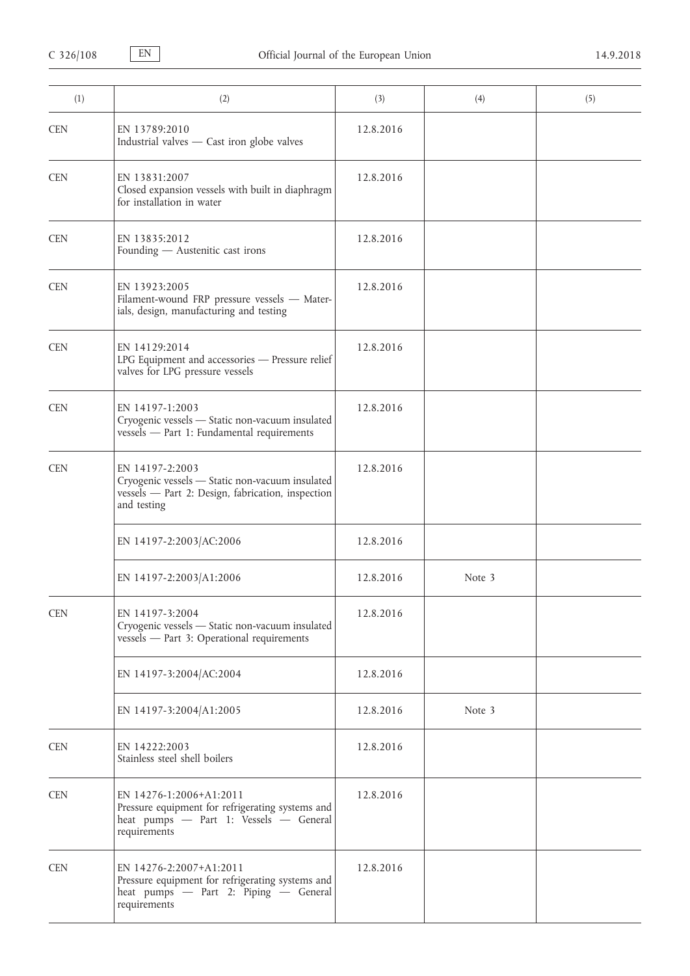| (1)        | (2)                                                                                                                                    | (3)       | (4)    | (5) |
|------------|----------------------------------------------------------------------------------------------------------------------------------------|-----------|--------|-----|
| <b>CEN</b> | EN 13789:2010<br>Industrial valves - Cast iron globe valves                                                                            | 12.8.2016 |        |     |
| <b>CEN</b> | EN 13831:2007<br>Closed expansion vessels with built in diaphragm<br>for installation in water                                         | 12.8.2016 |        |     |
| <b>CEN</b> | EN 13835:2012<br>Founding - Austenitic cast irons                                                                                      | 12.8.2016 |        |     |
| <b>CEN</b> | EN 13923:2005<br>Filament-wound FRP pressure vessels - Mater-<br>ials, design, manufacturing and testing                               | 12.8.2016 |        |     |
| <b>CEN</b> | EN 14129:2014<br>LPG Equipment and accessories - Pressure relief<br>valves for LPG pressure vessels                                    | 12.8.2016 |        |     |
| <b>CEN</b> | EN 14197-1:2003<br>Cryogenic vessels - Static non-vacuum insulated<br>vessels - Part 1: Fundamental requirements                       | 12.8.2016 |        |     |
| <b>CEN</b> | EN 14197-2:2003<br>Cryogenic vessels - Static non-vacuum insulated<br>vessels - Part 2: Design, fabrication, inspection<br>and testing | 12.8.2016 |        |     |
|            | EN 14197-2:2003/AC:2006                                                                                                                | 12.8.2016 |        |     |
|            | EN 14197-2:2003/A1:2006                                                                                                                | 12.8.2016 | Note 3 |     |
| <b>CEN</b> | EN 14197-3:2004<br>Cryogenic vessels - Static non-vacuum insulated<br>vessels - Part 3: Operational requirements                       | 12.8.2016 |        |     |
|            | EN 14197-3:2004/AC:2004                                                                                                                | 12.8.2016 |        |     |
|            | EN 14197-3:2004/A1:2005                                                                                                                | 12.8.2016 | Note 3 |     |
| <b>CEN</b> | EN 14222:2003<br>Stainless steel shell boilers                                                                                         | 12.8.2016 |        |     |
| <b>CEN</b> | EN 14276-1:2006+A1:2011<br>Pressure equipment for refrigerating systems and<br>heat pumps - Part 1: Vessels - General<br>requirements  | 12.8.2016 |        |     |
| <b>CEN</b> | EN 14276-2:2007+A1:2011<br>Pressure equipment for refrigerating systems and<br>heat pumps - Part 2: Piping - General<br>requirements   | 12.8.2016 |        |     |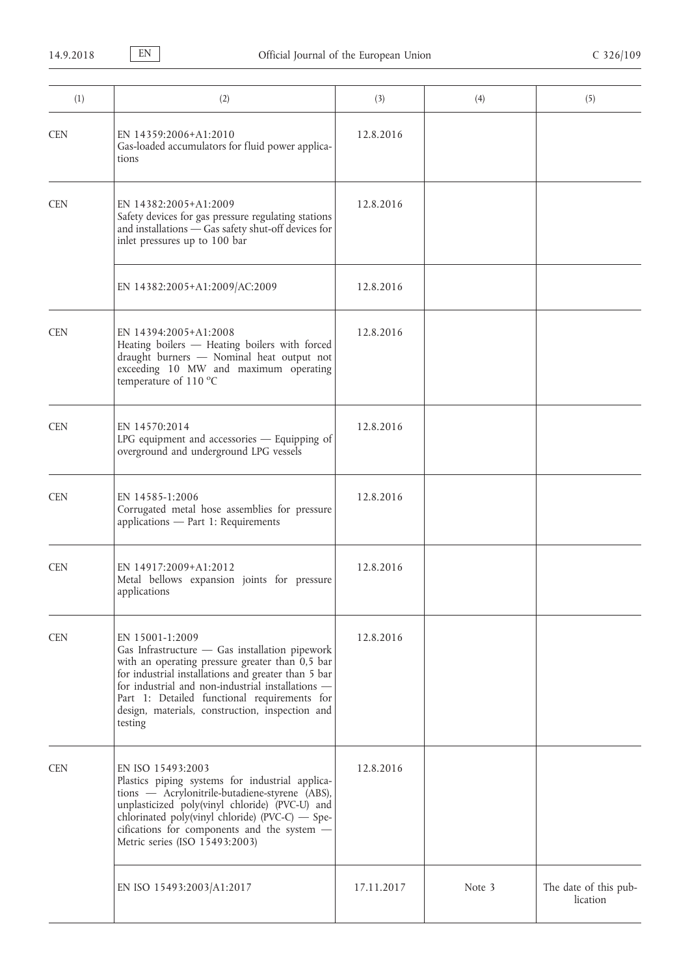| (1)        | (2)                                                                                                                                                                                                                                                                                                                                              | (3)        | (4)    | (5)                               |
|------------|--------------------------------------------------------------------------------------------------------------------------------------------------------------------------------------------------------------------------------------------------------------------------------------------------------------------------------------------------|------------|--------|-----------------------------------|
| <b>CEN</b> | EN 14359:2006+A1:2010<br>Gas-loaded accumulators for fluid power applica-<br>tions                                                                                                                                                                                                                                                               | 12.8.2016  |        |                                   |
| <b>CEN</b> | EN 14382:2005+A1:2009<br>Safety devices for gas pressure regulating stations<br>and installations - Gas safety shut-off devices for<br>inlet pressures up to 100 bar                                                                                                                                                                             | 12.8.2016  |        |                                   |
|            | EN 14382:2005+A1:2009/AC:2009                                                                                                                                                                                                                                                                                                                    | 12.8.2016  |        |                                   |
| <b>CEN</b> | EN 14394:2005+A1:2008<br>Heating boilers - Heating boilers with forced<br>draught burners - Nominal heat output not<br>exceeding 10 MW and maximum operating<br>temperature of 110 °C                                                                                                                                                            | 12.8.2016  |        |                                   |
| <b>CEN</b> | EN 14570:2014<br>LPG equipment and accessories - Equipping of<br>overground and underground LPG vessels                                                                                                                                                                                                                                          | 12.8.2016  |        |                                   |
| <b>CEN</b> | EN 14585-1:2006<br>Corrugated metal hose assemblies for pressure<br>applications - Part 1: Requirements                                                                                                                                                                                                                                          | 12.8.2016  |        |                                   |
| <b>CEN</b> | EN 14917:2009+A1:2012<br>Metal bellows expansion joints for pressure<br>applications                                                                                                                                                                                                                                                             | 12.8.2016  |        |                                   |
| <b>CEN</b> | EN 15001-1:2009<br>Gas Infrastructure $-$ Gas installation pipework<br>with an operating pressure greater than 0,5 bar<br>for industrial installations and greater than 5 bar<br>for industrial and non-industrial installations -<br>Part 1: Detailed functional requirements for<br>design, materials, construction, inspection and<br>testing | 12.8.2016  |        |                                   |
| <b>CEN</b> | EN ISO 15493:2003<br>Plastics piping systems for industrial applica-<br>tions - Acrylonitrile-butadiene-styrene (ABS),<br>unplasticized poly(vinyl chloride) (PVC-U) and<br>chlorinated poly(vinyl chloride) (PVC-C) - Spe-<br>cifications for components and the system -<br>Metric series (ISO 15493:2003)                                     | 12.8.2016  |        |                                   |
|            | EN ISO 15493:2003/A1:2017                                                                                                                                                                                                                                                                                                                        | 17.11.2017 | Note 3 | The date of this pub-<br>lication |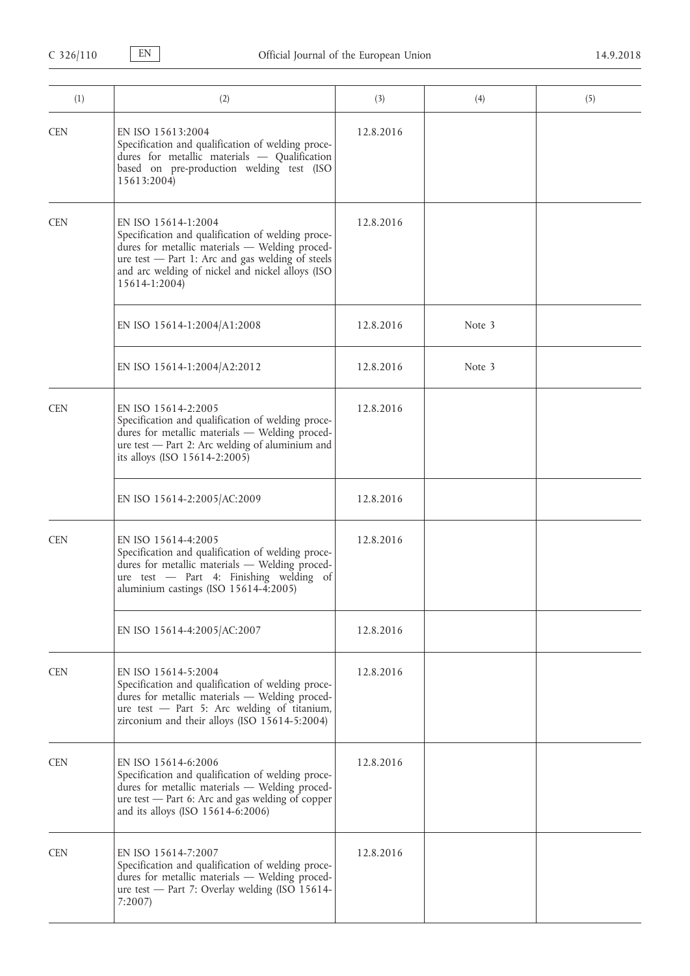| (1)        | (2)                                                                                                                                                                                                                                                 | (3)       | (4)    | (5) |
|------------|-----------------------------------------------------------------------------------------------------------------------------------------------------------------------------------------------------------------------------------------------------|-----------|--------|-----|
| <b>CEN</b> | EN ISO 15613:2004<br>Specification and qualification of welding proce-<br>dures for metallic materials - Qualification<br>based on pre-production welding test (ISO<br>15613:2004)                                                                  | 12.8.2016 |        |     |
| <b>CEN</b> | EN ISO 15614-1:2004<br>Specification and qualification of welding proce-<br>dures for metallic materials - Welding proced-<br>ure test - Part 1: Arc and gas welding of steels<br>and arc welding of nickel and nickel alloys (ISO<br>15614-1:2004) | 12.8.2016 |        |     |
|            | EN ISO 15614-1:2004/A1:2008                                                                                                                                                                                                                         | 12.8.2016 | Note 3 |     |
|            | EN ISO 15614-1:2004/A2:2012                                                                                                                                                                                                                         | 12.8.2016 | Note 3 |     |
| <b>CEN</b> | EN ISO 15614-2:2005<br>Specification and qualification of welding proce-<br>dures for metallic materials - Welding proced-<br>ure test - Part 2: Arc welding of aluminium and<br>its alloys (ISO 15614-2:2005)                                      | 12.8.2016 |        |     |
|            | EN ISO 15614-2:2005/AC:2009                                                                                                                                                                                                                         | 12.8.2016 |        |     |
| <b>CEN</b> | EN ISO 15614-4:2005<br>Specification and qualification of welding proce-<br>dures for metallic materials - Welding proced-<br>ure test - Part 4: Finishing welding of<br>aluminium castings (ISO 15614-4:2005)                                      | 12.8.2016 |        |     |
|            | EN ISO 15614-4:2005/AC:2007                                                                                                                                                                                                                         | 12.8.2016 |        |     |
| <b>CEN</b> | EN ISO 15614-5:2004<br>Specification and qualification of welding proce-<br>dures for metallic materials - Welding proced-<br>ure test - Part 5: Arc welding of titanium,<br>zirconium and their alloys (ISO 15614-5:2004)                          | 12.8.2016 |        |     |
| <b>CEN</b> | EN ISO 15614-6:2006<br>Specification and qualification of welding proce-<br>dures for metallic materials - Welding proced-<br>ure test - Part 6: Arc and gas welding of copper<br>and its alloys (ISO 15614-6:2006)                                 | 12.8.2016 |        |     |
| <b>CEN</b> | EN ISO 15614-7:2007<br>Specification and qualification of welding proce-<br>dures for metallic materials - Welding proced-<br>ure test - Part 7: Overlay welding (ISO 15614-<br>7:2007                                                              | 12.8.2016 |        |     |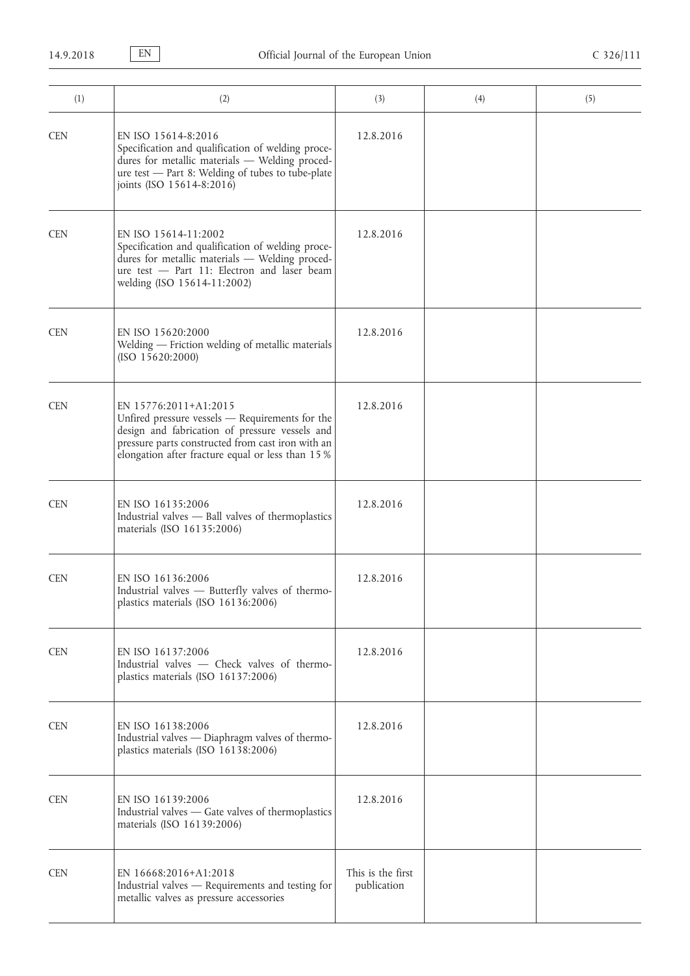| (1)        | (2)                                                                                                                                                                                                                                  | (3)                              | (4) | (5) |
|------------|--------------------------------------------------------------------------------------------------------------------------------------------------------------------------------------------------------------------------------------|----------------------------------|-----|-----|
| <b>CEN</b> | EN ISO 15614-8:2016<br>Specification and qualification of welding proce-<br>dures for metallic materials - Welding proced-<br>ure test - Part 8: Welding of tubes to tube-plate<br>joints (ISO 15614-8:2016)                         | 12.8.2016                        |     |     |
| <b>CEN</b> | EN ISO 15614-11:2002<br>Specification and qualification of welding proce-<br>dures for metallic materials - Welding proced-<br>ure test - Part 11: Electron and laser beam<br>welding (ISO 15614-11:2002)                            | 12.8.2016                        |     |     |
| <b>CEN</b> | EN ISO 15620:2000<br>Welding - Friction welding of metallic materials<br>(ISO 15620:2000)                                                                                                                                            | 12.8.2016                        |     |     |
| <b>CEN</b> | EN 15776:2011+A1:2015<br>Unfired pressure vessels - Requirements for the<br>design and fabrication of pressure vessels and<br>pressure parts constructed from cast iron with an<br>elongation after fracture equal or less than 15 % | 12.8.2016                        |     |     |
| <b>CEN</b> | EN ISO 16135:2006<br>Industrial valves - Ball valves of thermoplastics<br>materials (ISO 16135:2006)                                                                                                                                 | 12.8.2016                        |     |     |
| <b>CEN</b> | EN ISO 16136:2006<br>Industrial valves - Butterfly valves of thermo-<br>plastics materials (ISO 16136:2006)                                                                                                                          | 12.8.2016                        |     |     |
| <b>CEN</b> | EN ISO 16137:2006<br>Industrial valves - Check valves of thermo-<br>plastics materials (ISO 16137:2006)                                                                                                                              | 12.8.2016                        |     |     |
| <b>CEN</b> | EN ISO 16138:2006<br>Industrial valves - Diaphragm valves of thermo-<br>plastics materials (ISO 16138:2006)                                                                                                                          | 12.8.2016                        |     |     |
| <b>CEN</b> | EN ISO 16139:2006<br>Industrial valves - Gate valves of thermoplastics<br>materials (ISO 16139:2006)                                                                                                                                 | 12.8.2016                        |     |     |
| <b>CEN</b> | EN 16668:2016+A1:2018<br>Industrial valves - Requirements and testing for<br>metallic valves as pressure accessories                                                                                                                 | This is the first<br>publication |     |     |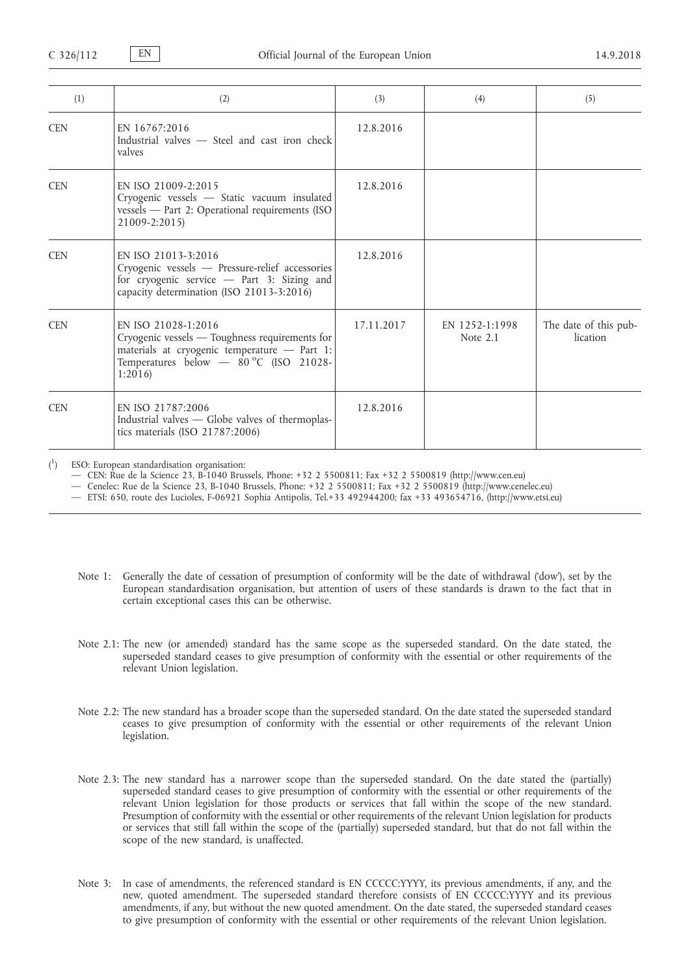| (1)        | (2)                                                                                                                                                                         | (3)        | (4)                        | (5)                               |
|------------|-----------------------------------------------------------------------------------------------------------------------------------------------------------------------------|------------|----------------------------|-----------------------------------|
| <b>CEN</b> | EN 16767:2016<br>Industrial valves - Steel and cast iron check<br>valves                                                                                                    | 12.8.2016  |                            |                                   |
| <b>CEN</b> | EN ISO 21009-2:2015<br>Cryogenic vessels - Static vacuum insulated<br>vessels - Part 2: Operational requirements (ISO<br>21009-2:2015)                                      | 12.8.2016  |                            |                                   |
| <b>CEN</b> | EN ISO 21013-3:2016<br>Cryogenic vessels - Pressure-relief accessories<br>for cryogenic service - Part 3: Sizing and<br>capacity determination (ISO 21013-3:2016)           | 12.8.2016  |                            |                                   |
| <b>CEN</b> | EN ISO 21028-1:2016<br>Cryogenic vessels — Toughness requirements for<br>materials at cryogenic temperature - Part 1:<br>Temperatures below $-$ 80 °C (ISO 21028-<br>1:2016 | 17.11.2017 | EN 1252-1:1998<br>Note 2.1 | The date of this pub-<br>lication |
| <b>CEN</b> | EN ISO 21787:2006<br>Industrial valves — Globe valves of thermoplas-<br>tics materials (ISO 21787:2006)                                                                     | 12.8.2016  |                            |                                   |

 $\binom{1}{1}$ ) ESO: European standardisation organisation:

— CEN: Rue de la Science 23, B-1040 Brussels, Phone: +32 2 5500811; Fax +32 2 5500819 ([http://www.cen.eu\)](http://www.cen.eu)

— Cenelec: Rue de la Science 23, B-1040 Brussels, Phone: +32 2 5500811; Fax +32 2 5500819 [\(http://www.cenelec.eu\)](http://www.cenelec.eu)

— ETSI: 650, route des Lucioles, F-06921 Sophia Antipolis, Tel.+33 492944200; fax +33 493654716, [\(http://www.etsi.eu\)](http://www.etsi.eu)

- Note 1: Generally the date of cessation of presumption of conformity will be the date of withdrawal ('dow'), set by the European standardisation organisation, but attention of users of these standards is drawn to the fact that in certain exceptional cases this can be otherwise.
- Note 2.1: The new (or amended) standard has the same scope as the superseded standard. On the date stated, the superseded standard ceases to give presumption of conformity with the essential or other requirements of the relevant Union legislation.
- Note 2.2: The new standard has a broader scope than the superseded standard. On the date stated the superseded standard ceases to give presumption of conformity with the essential or other requirements of the relevant Union legislation.
- Note 2.3: The new standard has a narrower scope than the superseded standard. On the date stated the (partially) superseded standard ceases to give presumption of conformity with the essential or other requirements of the relevant Union legislation for those products or services that fall within the scope of the new standard. Presumption of conformity with the essential or other requirements of the relevant Union legislation for products or services that still fall within the scope of the (partially) superseded standard, but that do not fall within the scope of the new standard, is unaffected.
- Note 3: In case of amendments, the referenced standard is EN CCCCC:YYYY, its previous amendments, if any, and the new, quoted amendment. The superseded standard therefore consists of EN CCCCC:YYYY and its previous amendments, if any, but without the new quoted amendment. On the date stated, the superseded standard ceases to give presumption of conformity with the essential or other requirements of the relevant Union legislation.